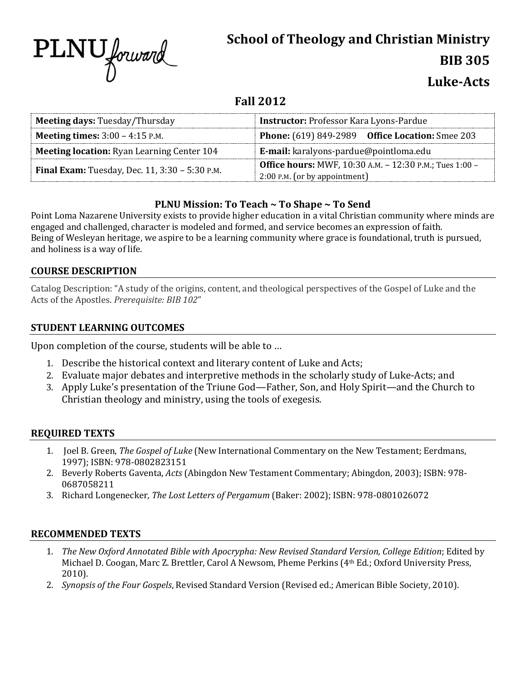

# **School of Theology and Christian Ministry BIB 305**

## **Luke-Acts**

### **Fall 2012**

| <b>Meeting days: Tuesday/Thursday</b>                 | <b>Instructor: Professor Kara Lyons-Pardue</b>                                             |  |  |
|-------------------------------------------------------|--------------------------------------------------------------------------------------------|--|--|
| <b>Meeting times:</b> $3:00 - 4:15$ P.M.              | <b>Phone:</b> (619) 849-2989 Office Location: Smee 203                                     |  |  |
| <b>Meeting location:</b> Ryan Learning Center 104     | E-mail: karalyons-pardue@pointloma.edu                                                     |  |  |
| <b>Final Exam:</b> Tuesday, Dec. 11, 3:30 - 5:30 P.M. | Office hours: MWF, 10:30 A.M. - 12:30 P.M.; Tues 1:00 -<br>$2:00$ P.M. (or by appointment) |  |  |

#### **PLNU Mission: To Teach ~ To Shape ~ To Send**

Point Loma Nazarene University exists to provide higher education in a vital Christian community where minds are engaged and challenged, character is modeled and formed, and service becomes an expression of faith. Being of Wesleyan heritage, we aspire to be a learning community where grace is foundational, truth is pursued, and holiness is a way of life.

#### **COURSE DESCRIPTION**

Catalog Description: "A study of the origins, content, and theological perspectives of the Gospel of Luke and the Acts of the Apostles. *Prerequisite: BIB 102*"

#### **STUDENT LEARNING OUTCOMES**

Upon completion of the course, students will be able to …

- 1. Describe the historical context and literary content of Luke and Acts;
- 2. Evaluate major debates and interpretive methods in the scholarly study of Luke-Acts; and
- 3. Apply Luke's presentation of the Triune God—Father, Son, and Holy Spirit—and the Church to Christian theology and ministry, using the tools of exegesis.

#### **REQUIRED TEXTS**

- 1. Joel B. Green, *The Gospel of Luke* (New International Commentary on the New Testament; Eerdmans, 1997); ISBN: 978-0802823151
- 2. Beverly Roberts Gaventa, *Acts* (Abingdon New Testament Commentary; Abingdon, 2003); ISBN: 978- 0687058211
- 3. Richard Longenecker, *The Lost Letters of Pergamum* (Baker: 2002); ISBN: 978-0801026072

#### **RECOMMENDED TEXTS**

- 1. *The New Oxford Annotated Bible with Apocrypha: New Revised Standard Version, College Edition*; Edited by Michael D. Coogan, Marc Z. Brettler, Carol A Newsom, Pheme Perkins (4th Ed.; Oxford University Press, 2010).
- 2. *Synopsis of the Four Gospels*, Revised Standard Version (Revised ed.; American Bible Society, 2010).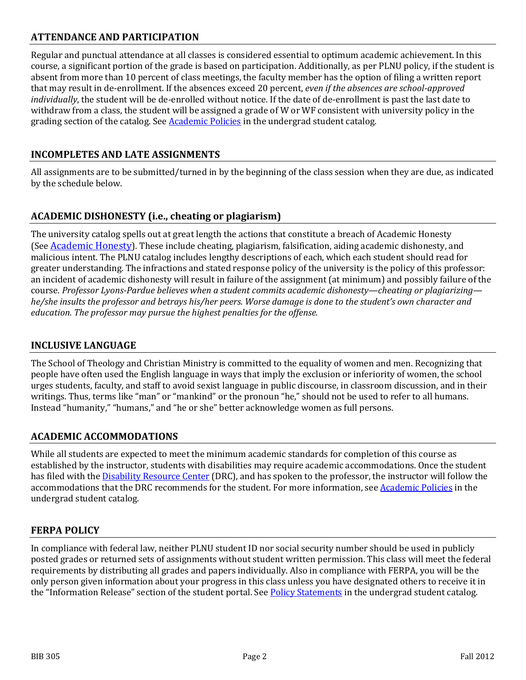#### **ATTENDANCE AND PARTICIPATION**

Regular and punctual attendance at all classes is considered essential to optimum academic achievement. In this course, a significant portion of the grade is based on participation. Additionally, as per PLNU policy, if the student is absent from more than 10 percent of class meetings, the faculty member has the option of filing a written report that may result in de-enrollment. If the absences exceed 20 percent, *even if the absences are school-approved individually*, the student will be de-enrolled without notice. If the date of de-enrollment is past the last date to withdraw from a class, the student will be assigned a grade of W or WF consistent with university policy in the grading section of the catalog. See **Academic Policies** in the undergrad student catalog.

#### **INCOMPLETES AND LATE ASSIGNMENTS**

All assignments are to be submitted/turned in by the beginning of the class session when they are due, as indicated by the schedule below.

#### **ACADEMIC DISHONESTY (i.e., cheating or plagiarism)**

The university catalog spells out at great length the actions that constitute a breach of Academic Honesty (See [Academic Honesty\)](http://catalog.pointloma.edu/content.php?catoid=8&navoid=864%23Academic_Honesty). These include cheating, plagiarism, falsification, aiding academic dishonesty, and malicious intent. The PLNU catalog includes lengthy descriptions of each, which each student should read for greater understanding. The infractions and stated response policy of the university is the policy of this professor: an incident of academic dishonesty will result in failure of the assignment (at minimum) and possibly failure of the course. *Professor Lyons-Pardue believes when a student commits academic dishonesty—cheating or plagiarizing he/she insults the professor and betrays his/her peers. Worse damage is done to the student's own character and education. The professor may pursue the highest penalties for the offense.*

#### **INCLUSIVE LANGUAGE**

The School of Theology and Christian Ministry is committed to the equality of women and men. Recognizing that people have often used the English language in ways that imply the exclusion or inferiority of women, the school urges students, faculty, and staff to avoid sexist language in public discourse, in classroom discussion, and in their writings. Thus, terms like "man" or "mankind" or the pronoun "he," should not be used to refer to all humans. Instead "humanity," "humans," and "he or she" better acknowledge women as full persons.

#### **ACADEMIC ACCOMMODATIONS**

While all students are expected to meet the minimum academic standards for completion of this course as established by the instructor, students with disabilities may require academic accommodations. Once the student has filed with the **Disability Resource Center** (DRC), and has spoken to the professor, the instructor will follow the accommodations that the DRC recommends for the student. For more information, se[e Academic Policies](http://www.pointloma.edu/experience/academics/catalogs/undergraduate-catalog/point-loma-education/academic-policies) in the undergrad student catalog.

#### **FERPA POLICY**

In compliance with federal law, neither PLNU student ID nor social security number should be used in publicly posted grades or returned sets of assignments without student written permission. This class will meet the federal requirements by distributing all grades and papers individually. Also in compliance with FERPA, you will be the only person given information about your progress in this class unless you have designated others to receive it in the "Information Release" section of the student portal. See [Policy Statements](http://www.pointloma.edu/experience/academics/catalogs/undergraduate-catalog/policy-statements) in the undergrad student catalog.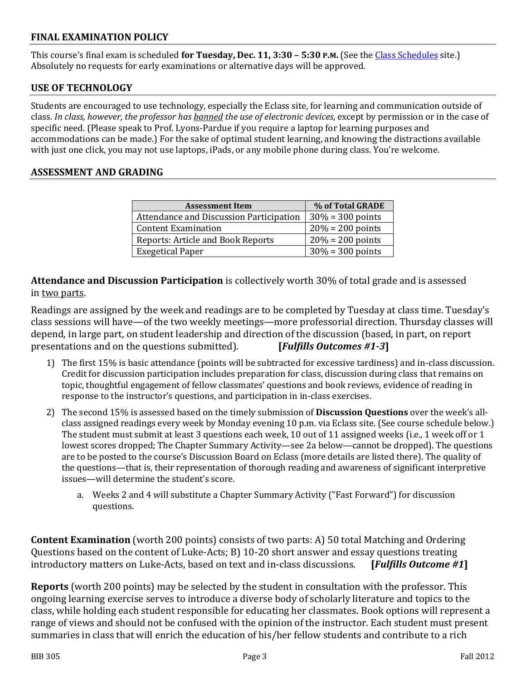#### **FINAL EXAMINATION POLICY**

This course's final exam is scheduled **for Tuesday, Dec. 11, 3:30 – 5:30 P.M.** (See the [Class Schedules](http://www.pointloma.edu/experience/academics/class-schedules) site.) Absolutely no requests for early examinations or alternative days will be approved.

#### **USE OF TECHNOLOGY**

Students are encouraged to use technology, especially the Eclass site, for learning and communication outside of class. *In class, however, the professor has banned the use of electronic devices*, except by permission or in the case of specific need. (Please speak to Prof. Lyons-Pardue if you require a laptop for learning purposes and accommodations can be made.) For the sake of optimal student learning, and knowing the distractions available with just one click, you may not use laptops, iPads, or any mobile phone during class. You're welcome.

#### **ASSESSMENT AND GRADING**

| <b>Assessment Item</b>                   | % of Total GRADE    |  |  |
|------------------------------------------|---------------------|--|--|
| Attendance and Discussion Participation  | $30\% = 300$ points |  |  |
| Content Examination                      | $20% = 200$ points  |  |  |
| <b>Reports: Article and Book Reports</b> | $20% = 200$ points  |  |  |
| <b>Exegetical Paper</b>                  | $30\% = 300$ points |  |  |

**Attendance and Discussion Participation** is collectively worth 30% of total grade and is assessed in two parts.

Readings are assigned by the week and readings are to be completed by Tuesday at class time. Tuesday's class sessions will have—of the two weekly meetings—more professorial direction. Thursday classes will depend, in large part, on student leadership and direction of the discussion (based, in part, on report presentations and on the questions submitted). [Fulfills Outcomes #1-3] presentations and on the questions submitted).

- 1) The first 15% is basic attendance (points will be subtracted for excessive tardiness) and in-class discussion. Credit for discussion participation includes preparation for class, discussion during class that remains on topic, thoughtful engagement of fellow classmates' questions and book reviews, evidence of reading in response to the instructor's questions, and participation in in-class exercises.
- 2) The second 15% is assessed based on the timely submission of **Discussion Questions** over the week's allclass assigned readings every week by Monday evening 10 p.m. via Eclass site. (See course schedule below.) The student must submit at least 3 questions each week, 10 out of 11 assigned weeks (i.e., 1 week off or 1 lowest scores dropped; The Chapter Summary Activity—see 2a below—cannot be dropped). The questions are to be posted to the course's Discussion Board on Eclass (more details are listed there). The quality of the questions—that is, their representation of thorough reading and awareness of significant interpretive issues—will determine the student's score.
	- a. Weeks 2 and 4 will substitute a Chapter Summary Activity ("Fast Forward") for discussion questions.

**Content Examination** (worth 200 points) consists of two parts: A) 50 total Matching and Ordering Questions based on the content of Luke-Acts; B) 10-20 short answer and essay questions treating<br>introductory matters on Luke-Acts, based on text and in-class discussions. [Fulfills Outcome #1] introductory matters on Luke-Acts, based on text and in-class discussions.

**Reports** (worth 200 points) may be selected by the student in consultation with the professor. This ongoing learning exercise serves to introduce a diverse body of scholarly literature and topics to the class, while holding each student responsible for educating her classmates. Book options will represent a range of views and should not be confused with the opinion of the instructor. Each student must present summaries in class that will enrich the education of his/her fellow students and contribute to a rich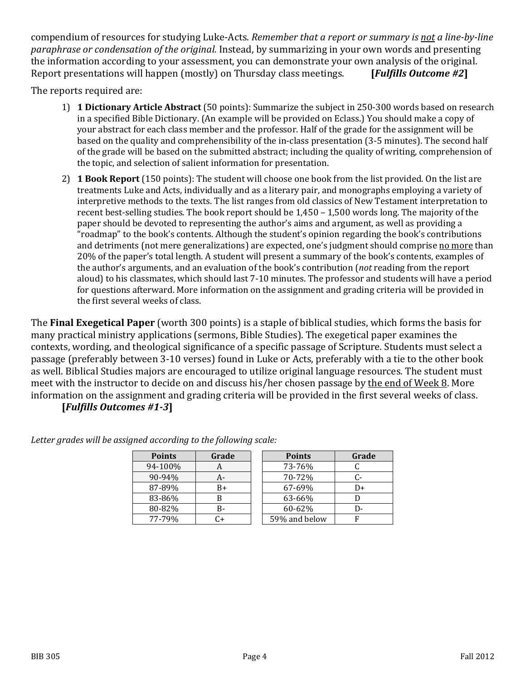compendium of resources for studying Luke-Acts. *Remember that a report or summary is not a line-by-line paraphrase or condensation of the original.* Instead, by summarizing in your own words and presenting the information according to your assessment, you can demonstrate your own analysis of the original.<br>Report presentations will happen (mostly) on Thursday class meetings. [Fulfills Outcome #2] Report presentations will happen (mostly) on Thursday class meetings.

The reports required are:

- 1) **1 Dictionary Article Abstract** (50 points): Summarize the subject in 250-300 words based on research in a specified Bible Dictionary. (An example will be provided on Eclass.) You should make a copy of your abstract for each class member and the professor. Half of the grade for the assignment will be based on the quality and comprehensibility of the in-class presentation (3-5 minutes). The second half of the grade will be based on the submitted abstract; including the quality of writing, comprehension of the topic, and selection of salient information for presentation.
- 2) **1 Book Report** (150 points): The student will choose one book from the list provided. On the list are treatments Luke and Acts, individually and as a literary pair, and monographs employing a variety of interpretive methods to the texts. The list ranges from old classics of New Testament interpretation to recent best-selling studies. The book report should be 1,450 – 1,500 words long. The majority of the paper should be devoted to representing the author's aims and argument, as well as providing a "roadmap" to the book's contents. Although the student's opinion regarding the book's contributions and detriments (not mere generalizations) are expected, one's judgment should comprise no more than 20% of the paper's total length. A student will present a summary of the book's contents, examples of the author's arguments, and an evaluation of the book's contribution (*not* reading from the report aloud) to his classmates, which should last 7-10 minutes. The professor and students will have a period for questions afterward. More information on the assignment and grading criteria will be provided in the first several weeks of class.

The **Final Exegetical Paper** (worth 300 points) is a staple of biblical studies, which forms the basis for many practical ministry applications (sermons, Bible Studies). The exegetical paper examines the contexts, wording, and theological significance of a specific passage of Scripture. Students must select a passage (preferably between 3-10 verses) found in Luke or Acts, preferably with a tie to the other book as well. Biblical Studies majors are encouraged to utilize original language resources. The student must meet with the instructor to decide on and discuss his/her chosen passage by the end of Week 8. More information on the assignment and grading criteria will be provided in the first several weeks of class. **[***Fulfills Outcomes #1-3***]**

| <b>Points</b> | Grade | <b>Points</b> | Grade |
|---------------|-------|---------------|-------|
| 94-100%       |       | 73-76%        |       |
| 90-94%        | А-    | 70-72%        |       |
| 87-89%        | B+    | 67-69%        | D+    |
| 83-86%        | В     | 63-66%        |       |
| 80-82%        | B-    | 60-62%        |       |
| 77-79%        |       | 59% and below |       |
|               |       |               |       |

*Letter grades will be assigned according to the following scale:*